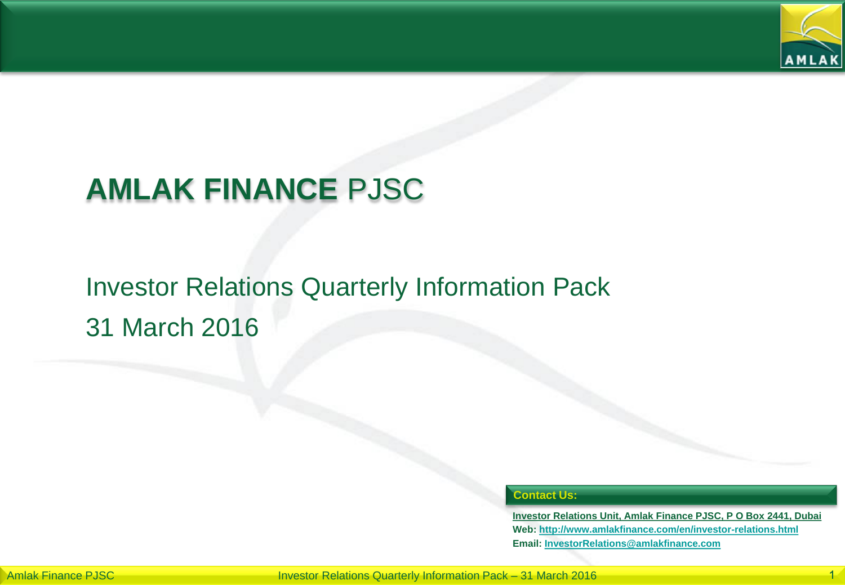

## **AMLAK FINANCE** PJSC

## Investor Relations Quarterly Information Pack 31 March 2016

#### **Contact Us:**

**Investor Relations Unit, Amlak Finance PJSC, P O Box 2441, Dubai Web: <http://www.amlakfinance.com/en/investor-relations.html> Email: [InvestorRelations@amlakfinance.com](mailto:InvestorRelations@amlakfinance.com)**

Amlak Finance PJSC **Investor Relations Quarterly Information Pack – 31 March 2016**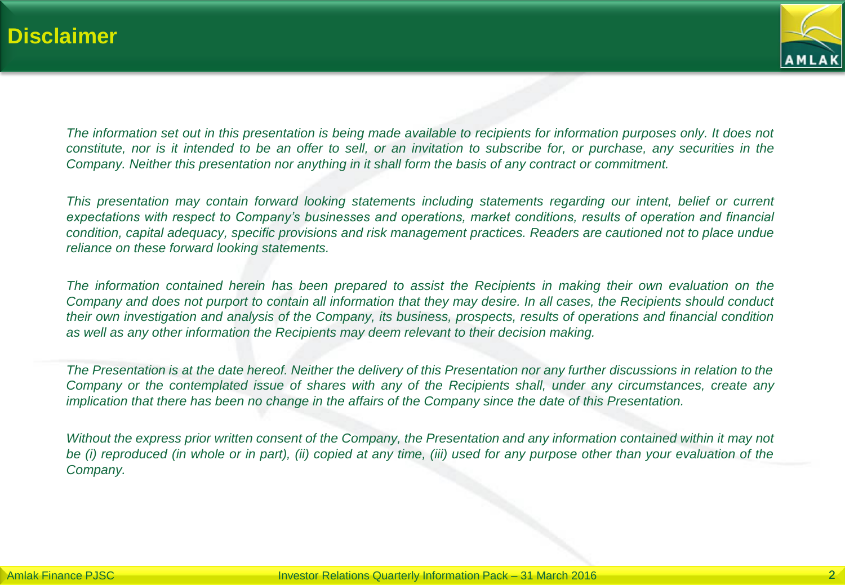

*The information set out in this presentation is being made available to recipients for information purposes only. It does not constitute, nor is it intended to be an offer to sell, or an invitation to subscribe for, or purchase, any securities in the Company. Neither this presentation nor anything in it shall form the basis of any contract or commitment.* 

*This presentation may contain forward looking statements including statements regarding our intent, belief or current expectations with respect to Company's businesses and operations, market conditions, results of operation and financial condition, capital adequacy, specific provisions and risk management practices. Readers are cautioned not to place undue reliance on these forward looking statements.*

*The information contained herein has been prepared to assist the Recipients in making their own evaluation on the Company and does not purport to contain all information that they may desire. In all cases, the Recipients should conduct their own investigation and analysis of the Company, its business, prospects, results of operations and financial condition as well as any other information the Recipients may deem relevant to their decision making.*

*The Presentation is at the date hereof. Neither the delivery of this Presentation nor any further discussions in relation to the Company or the contemplated issue of shares with any of the Recipients shall, under any circumstances, create any implication that there has been no change in the affairs of the Company since the date of this Presentation.*

*Without the express prior written consent of the Company, the Presentation and any information contained within it may not be (i) reproduced (in whole or in part), (ii) copied at any time, (iii) used for any purpose other than your evaluation of the Company.*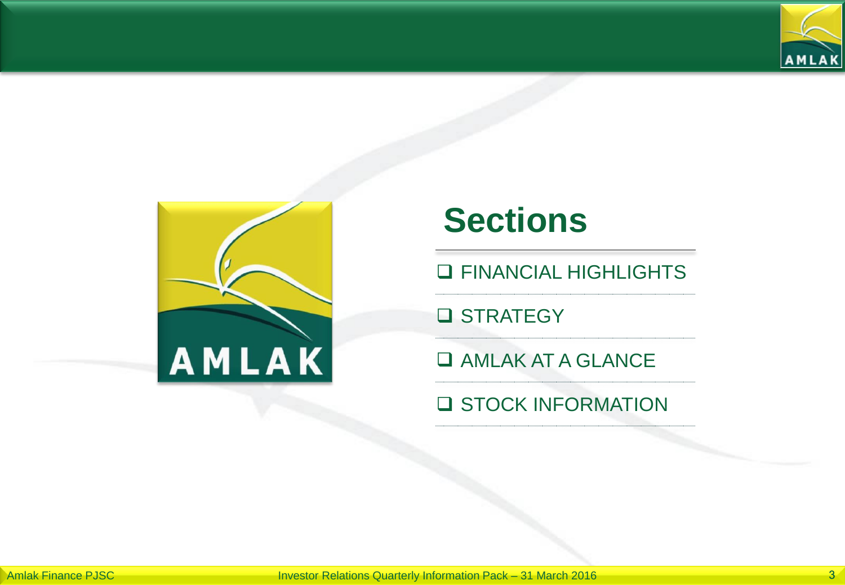



# **Sections**

**Q FINANCIAL HIGHLIGHTS** 

**Q STRATEGY** 

**Q AMLAK AT A GLANCE** 

**Q STOCK INFORMATION**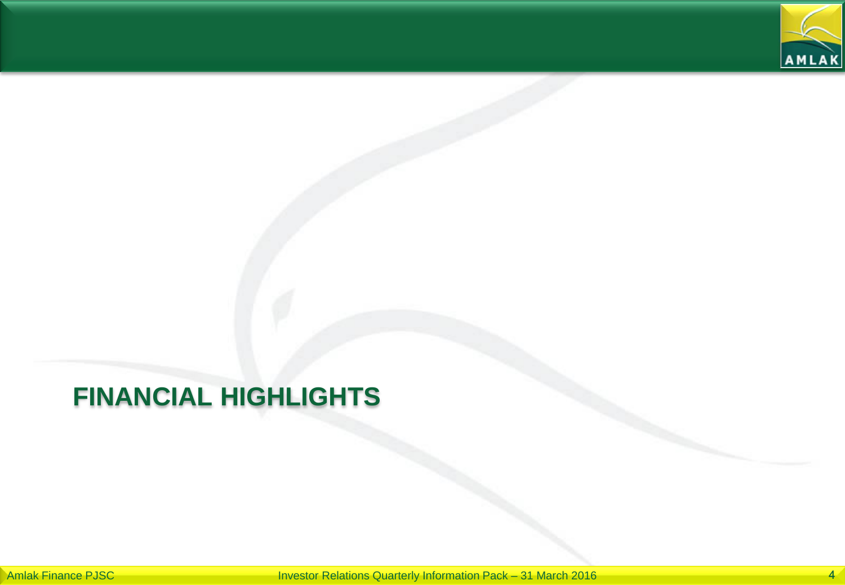

## **FINANCIAL HIGHLIGHTS**

Amlak Finance PJSC **Investor Relations Quarterly Information Pack – 31 March 2016**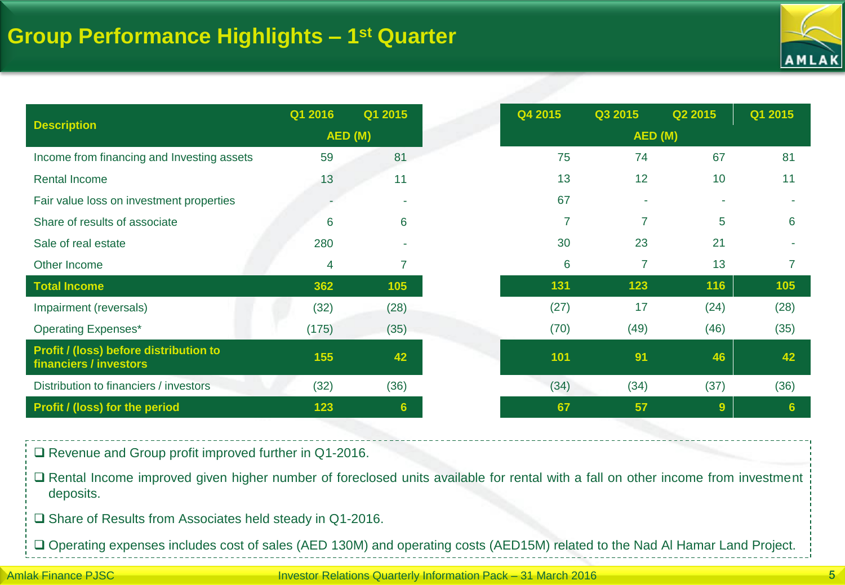

|                                                                  | Q1 2016 | Q1 2015 |         | Q4 2015        | Q3 2015        | Q2 2015 | Q1 2015 |
|------------------------------------------------------------------|---------|---------|---------|----------------|----------------|---------|---------|
| <b>Description</b>                                               | AED (M) |         | AED (M) |                |                |         |         |
| Income from financing and Investing assets                       | 59      | 81      |         | 75             | 74             | 67      | 81      |
| Rental Income                                                    | 13      | 11      |         | 13             | 12             | 10      | 11      |
| Fair value loss on investment properties                         |         |         |         | 67             |                |         |         |
| Share of results of associate                                    | 6       | 6       |         | $\overline{7}$ | $\overline{7}$ | 5       | 6       |
| Sale of real estate                                              | 280     |         |         | 30             | 23             | 21      |         |
| Other Income                                                     | 4       | 7       |         | 6              | $\overline{7}$ | 13      |         |
| <b>Total Income</b>                                              | 362     | 105     |         | 131            | 123            | 116     | 105     |
| Impairment (reversals)                                           | (32)    | (28)    |         | (27)           | 17             | (24)    | (28)    |
| <b>Operating Expenses*</b>                                       | (175)   | (35)    |         | (70)           | (49)           | (46)    | (35)    |
| Profit / (loss) before distribution to<br>financiers / investors | 155     | 42      |         | 101            | 91             | 46      | 42      |
| Distribution to financiers / investors                           | (32)    | (36)    |         | (34)           | (34)           | (37)    | (36)    |
| Profit / (loss) for the period                                   | 123     | 6       |         | 67             | 57             | 9       | 6       |

□ Revenue and Group profit improved further in Q1-2016.

 Rental Income improved given higher number of foreclosed units available for rental with a fall on other income from investment deposits.

□ Share of Results from Associates held steady in Q1-2016.

Operating expenses includes cost of sales (AED 130M) and operating costs (AED15M) related to the Nad Al Hamar Land Project.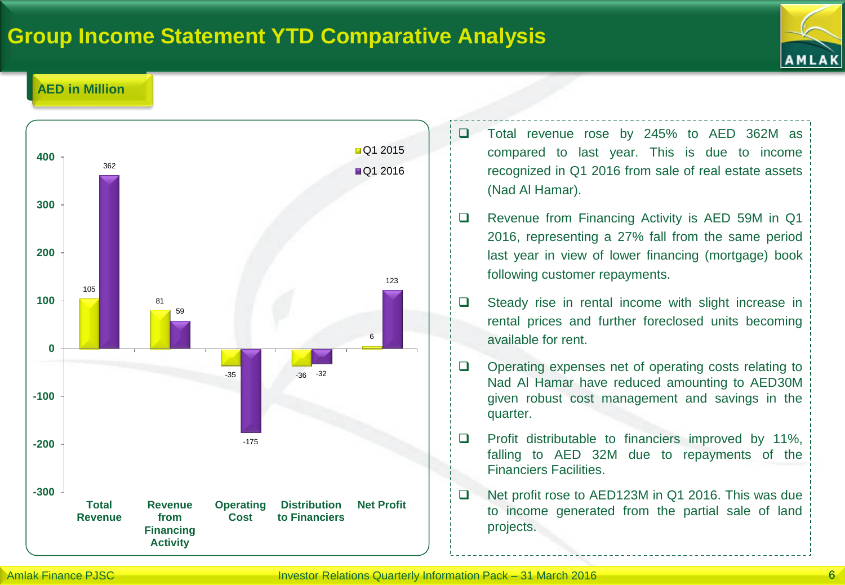### **Group Income Statement YTD Comparative Analysis**



#### **AED in Million**



- □ Total revenue rose by 245% to AED 362M as compared to last year. This is due to income recognized in Q1 2016 from sale of real estate assets (Nad Al Hamar).
- □ Revenue from Financing Activity is AED 59M in Q1 2016, representing a 27% fall from the same period last year in view of lower financing (mortgage) book following customer repayments.
- $\Box$  Steady rise in rental income with slight increase in rental prices and further foreclosed units becoming available for rent.
- □ Operating expenses net of operating costs relating to Nad Al Hamar have reduced amounting to AED30M given robust cost management and savings in the quarter.
- $\Box$  Profit distributable to financiers improved by 11%, falling to AED 32M due to repayments of the Financiers Facilities.
- □ Net profit rose to AED123M in Q1 2016. This was due to income generated from the partial sale of land projects.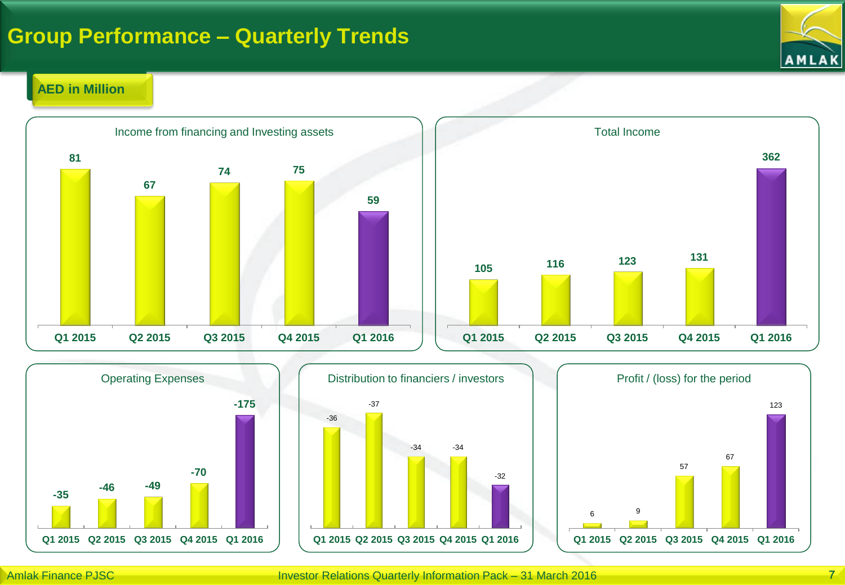### **Group Performance – Quarterly Trends**



### **AED in Million**









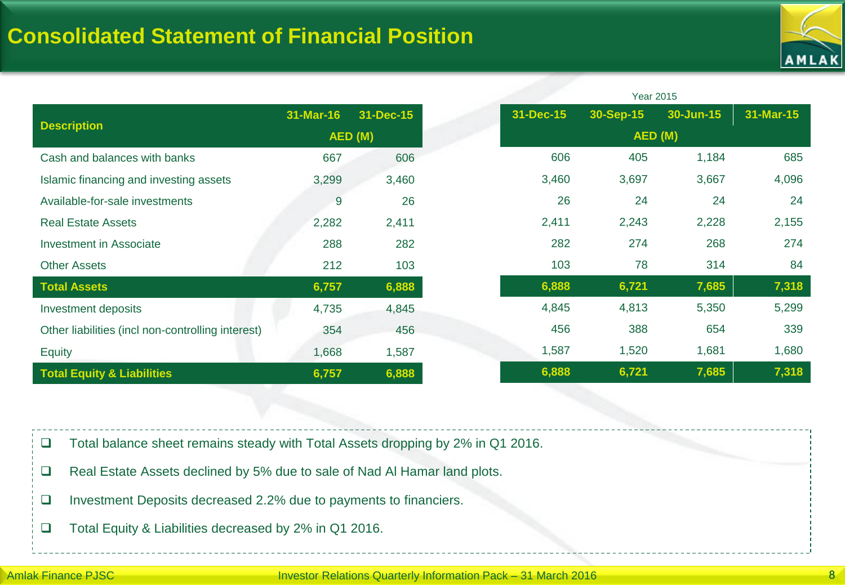

|                                                   |           |           |           |           | <b>Year 2015</b> |           |
|---------------------------------------------------|-----------|-----------|-----------|-----------|------------------|-----------|
| <b>Description</b>                                | 31-Mar-16 | 31-Dec-15 | 31-Dec-15 | 30-Sep-15 | 30-Jun-15        | 31-Mar-15 |
|                                                   | AED (M)   |           |           |           | AED (M)          |           |
| Cash and balances with banks                      | 667       | 606       | 606       | 405       | 1,184            | 685       |
| Islamic financing and investing assets            | 3,299     | 3,460     | 3,460     | 3,697     | 3,667            | 4,096     |
| Available-for-sale investments                    | 9         | 26        | 26        | 24        | 24               | 24        |
| <b>Real Estate Assets</b>                         | 2,282     | 2,411     | 2,411     | 2,243     | 2,228            | 2,155     |
| <b>Investment in Associate</b>                    | 288       | 282       | 282       | 274       | 268              | 274       |
| <b>Other Assets</b>                               | 212       | 103       | 103       | 78        | 314              | 84        |
| <b>Total Assets</b>                               | 6,757     | 6,888     | 6,888     | 6,721     | 7,685            | 7,318     |
| Investment deposits                               | 4,735     | 4,845     | 4,845     | 4,813     | 5,350            | 5,299     |
| Other liabilities (incl non-controlling interest) | 354       | 456       | 456       | 388       | 654              | 339       |
| Equity                                            | 1,668     | 1,587     | 1,587     | 1,520     | 1,681            | 1,680     |
| <b>Total Equity &amp; Liabilities</b>             | 6,757     | 6,888     | 6,888     | 6,721     | 7,685            | 7,318     |

□ Total balance sheet remains steady with Total Assets dropping by 2% in Q1 2016.

- □ Real Estate Assets declined by 5% due to sale of Nad Al Hamar land plots.
- Investment Deposits decreased 2.2% due to payments to financiers.
- □ Total Equity & Liabilities decreased by 2% in Q1 2016.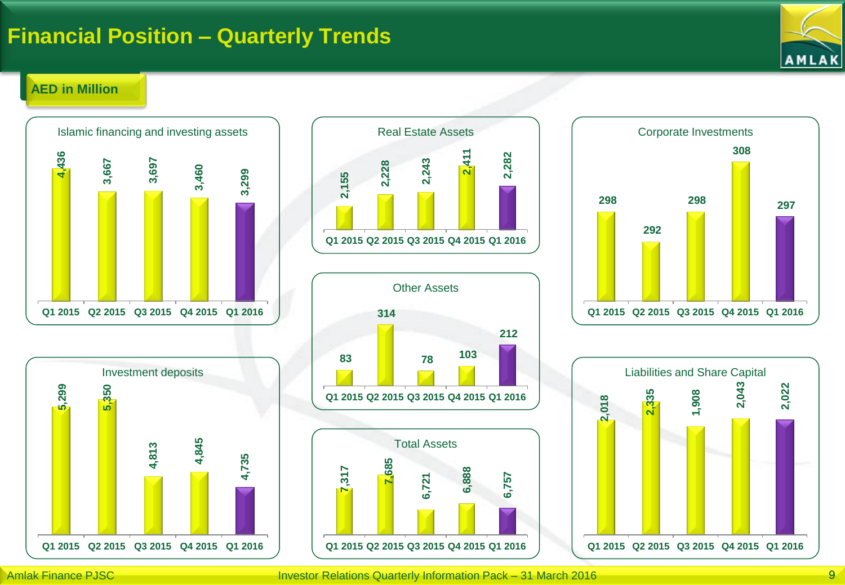### **Financial Position – Quarterly Trends**



#### **AED in Million**











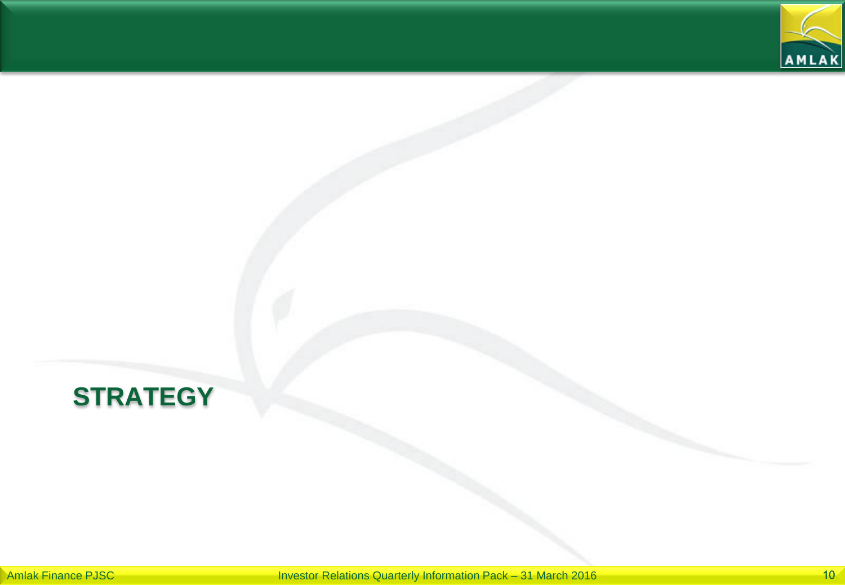

## **STRATEGY**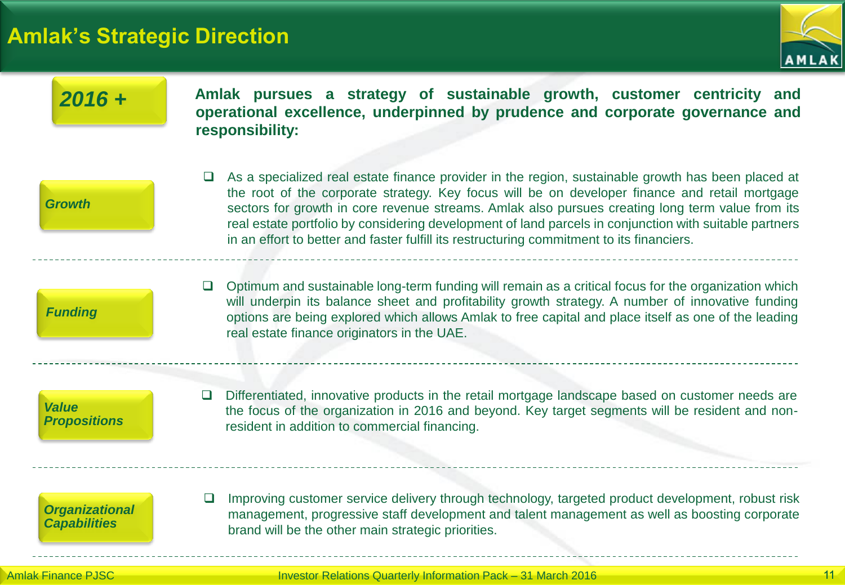## **Amlak's Strategic Direction**



| $2016 +$                                     | Amlak pursues a strategy of sustainable growth, customer centricity and<br>operational excellence, underpinned by prudence and corporate governance and<br>responsibility:                                                                                                                                                                                                                                                                                                                                             |
|----------------------------------------------|------------------------------------------------------------------------------------------------------------------------------------------------------------------------------------------------------------------------------------------------------------------------------------------------------------------------------------------------------------------------------------------------------------------------------------------------------------------------------------------------------------------------|
| <b>Growth</b>                                | $\Box$ As a specialized real estate finance provider in the region, sustainable growth has been placed at<br>the root of the corporate strategy. Key focus will be on developer finance and retail mortgage<br>sectors for growth in core revenue streams. Amlak also pursues creating long term value from its<br>real estate portfolio by considering development of land parcels in conjunction with suitable partners<br>in an effort to better and faster fulfill its restructuring commitment to its financiers. |
| <b>Funding</b>                               | Optimum and sustainable long-term funding will remain as a critical focus for the organization which<br>will underpin its balance sheet and profitability growth strategy. A number of innovative funding<br>options are being explored which allows Amlak to free capital and place itself as one of the leading<br>real estate finance originators in the UAE.                                                                                                                                                       |
| <b>Value</b><br><b>Propositions</b>          | Differentiated, innovative products in the retail mortgage landscape based on customer needs are<br>$\Box$<br>the focus of the organization in 2016 and beyond. Key target segments will be resident and non-<br>resident in addition to commercial financing.                                                                                                                                                                                                                                                         |
| <b>Organizational</b><br><b>Capabilities</b> | Improving customer service delivery through technology, targeted product development, robust risk<br>$\Box$<br>management, progressive staff development and talent management as well as boosting corporate<br>brand will be the other main strategic priorities.                                                                                                                                                                                                                                                     |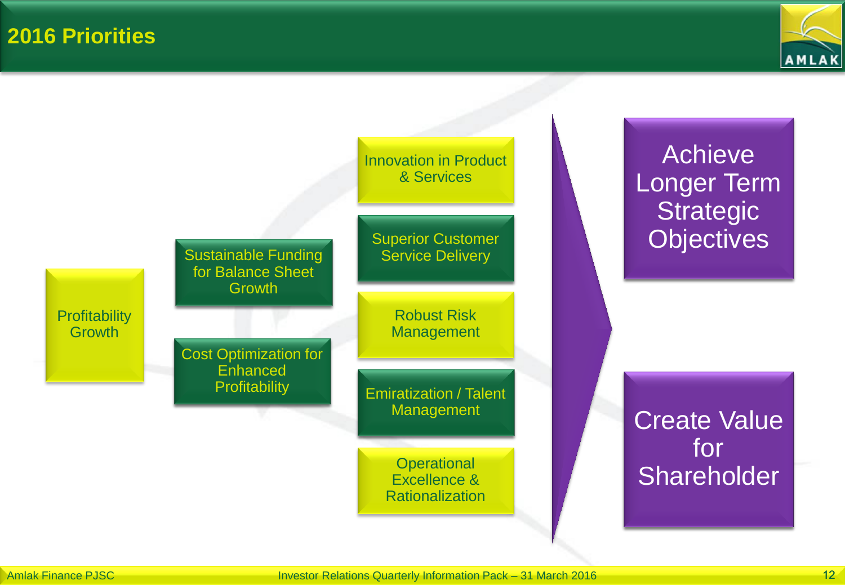**2016 Priorities**



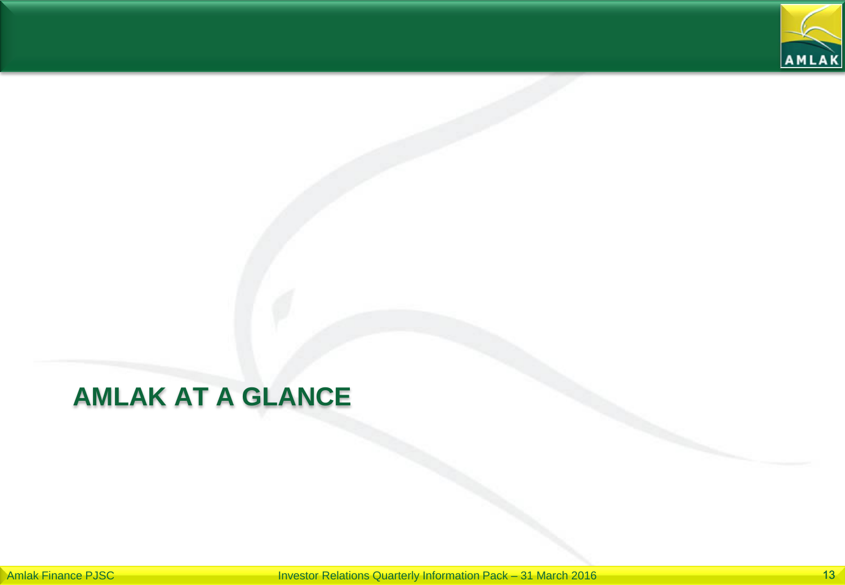

## **AMLAK AT A GLANCE**

Amlak Finance PJSC **Investor Relations Quarterly Information Pack – 31 March 2016** 13 March 2016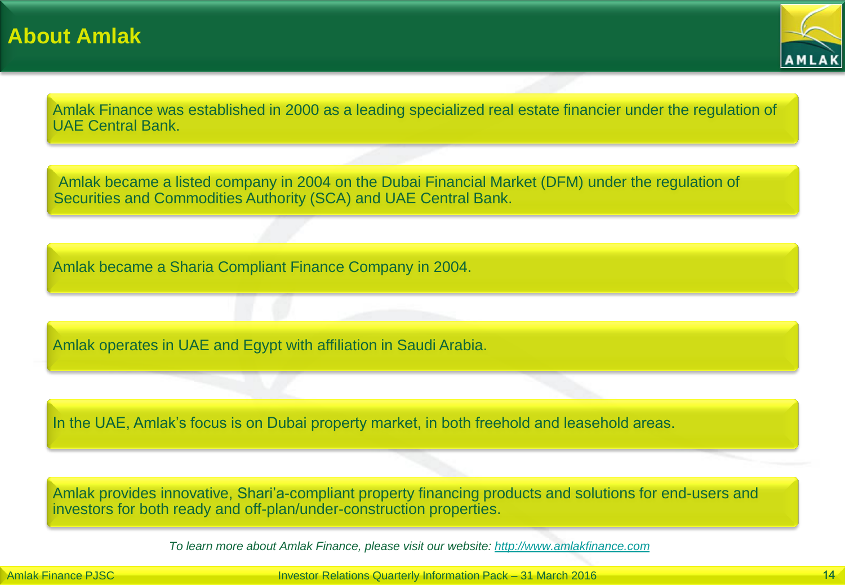

Amlak Finance was established in 2000 as a leading specialized real estate financier under the regulation of UAE Central Bank.

Amlak became a listed company in 2004 on the Dubai Financial Market (DFM) under the regulation of Securities and Commodities Authority (SCA) and UAE Central Bank.

Amlak became a Sharia Compliant Finance Company in 2004.

Amlak operates in UAE and Egypt with affiliation in Saudi Arabia.

In the UAE, Amlak's focus is on Dubai property market, in both freehold and leasehold areas.

Amlak provides innovative, Shari'a-compliant property financing products and solutions for end-users and investors for both ready and off-plan/under-construction properties.

*To learn more about Amlak Finance, please visit our website: [http://www.amlakfinance.com](http://www.amlakfinance.com/)*

Amlak Finance PJSC **International Investor Relations Quarterly Information Pack – 31 March 2016** 14 March 2016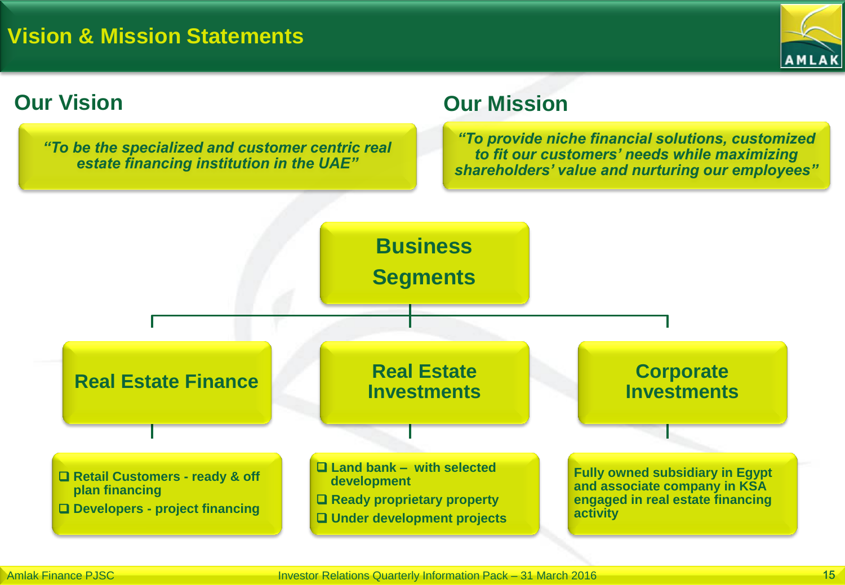

*"To be the specialized and customer centric real estate financing institution in the UAE"*

### **Our Vision Our Mission**

*"To provide niche financial solutions, customized to fit our customers' needs while maximizing shareholders' value and nurturing our employees"*

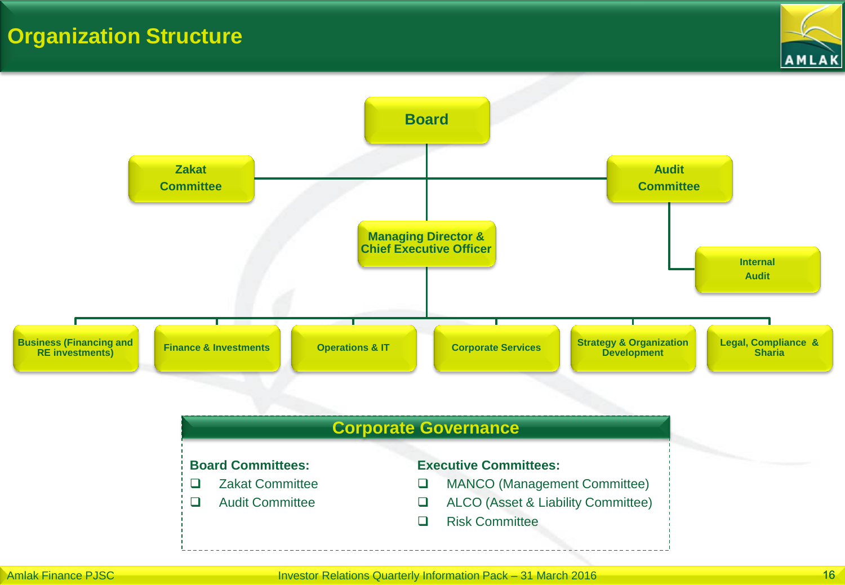### **Organization Structure**



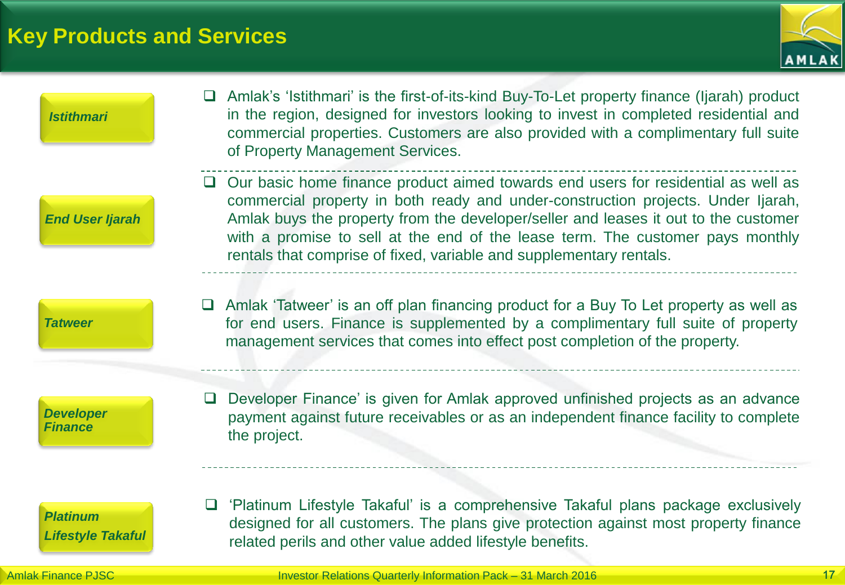### **Key Products and Services**



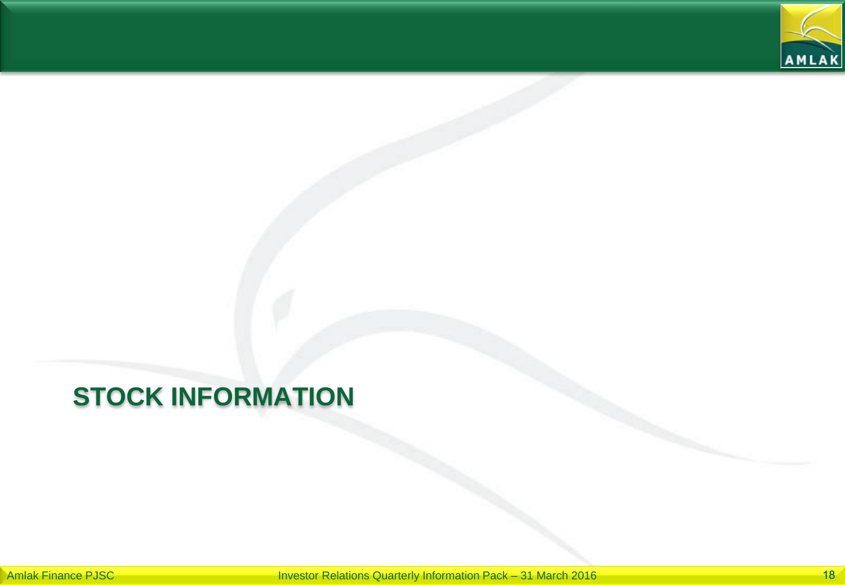

## **STOCK INFORMATION**

Amlak Finance PJSC **Investor Relations Quarterly Information Pack – 31 March 2016** 18